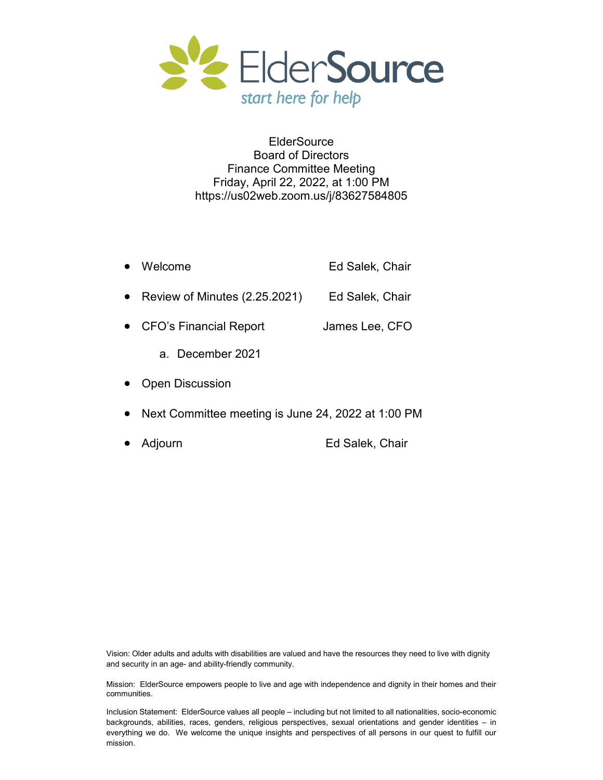

**ElderSource** Board of Directors Finance Committee Meeting Friday, April 22, 2022, at 1:00 PM https://us02web.zoom.us/j/83627584805

| Welcome                       | Ed Salek, Chair |
|-------------------------------|-----------------|
| Review of Minutes (2.25.2021) | Ed Salek, Chair |
| <b>CFO's Financial Report</b> | James Lee, CFO  |
| a December 2021               |                 |
| <b>Open Discussion</b>        |                 |

- Next Committee meeting is June 24, 2022 at 1:00 PM
- Adjourn Ed Salek, Chair

Vision: Older adults and adults with disabilities are valued and have the resources they need to live with dignity and security in an age- and ability-friendly community.

Mission: ElderSource empowers people to live and age with independence and dignity in their homes and their communities.

Inclusion Statement: ElderSource values all people – including but not limited to all nationalities, socio-economic backgrounds, abilities, races, genders, religious perspectives, sexual orientations and gender identities – in everything we do. We welcome the unique insights and perspectives of all persons in our quest to fulfill our mission.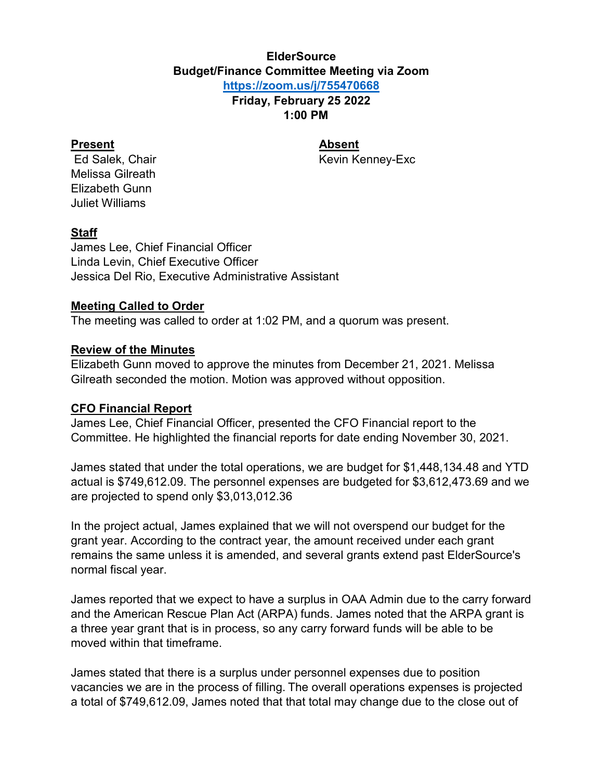#### **ElderSource Budget/Finance Committee Meeting via Zoom <https://zoom.us/j/755470668>**

**Friday, February 25 2022 1:00 PM**

#### **Present Absent**

Ed Salek, Chair **Keyin Kevin Kenney-Exc** Kevin Kenney-Exc

Melissa Gilreath Elizabeth Gunn Juliet Williams

#### **Staff**

James Lee, Chief Financial Officer Linda Levin, Chief Executive Officer Jessica Del Rio, Executive Administrative Assistant

#### **Meeting Called to Order**

The meeting was called to order at 1:02 PM, and a quorum was present.

#### **Review of the Minutes**

Elizabeth Gunn moved to approve the minutes from December 21, 2021. Melissa Gilreath seconded the motion. Motion was approved without opposition.

#### **CFO Financial Report**

James Lee, Chief Financial Officer, presented the CFO Financial report to the Committee. He highlighted the financial reports for date ending November 30, 2021.

James stated that under the total operations, we are budget for \$1,448,134.48 and YTD actual is \$749,612.09. The personnel expenses are budgeted for \$3,612,473.69 and we are projected to spend only \$3,013,012.36

In the project actual, James explained that we will not overspend our budget for the grant year. According to the contract year, the amount received under each grant remains the same unless it is amended, and several grants extend past ElderSource's normal fiscal year.

James reported that we expect to have a surplus in OAA Admin due to the carry forward and the American Rescue Plan Act (ARPA) funds. James noted that the ARPA grant is a three year grant that is in process, so any carry forward funds will be able to be moved within that timeframe.

James stated that there is a surplus under personnel expenses due to position vacancies we are in the process of filling. The overall operations expenses is projected a total of \$749,612.09, James noted that that total may change due to the close out of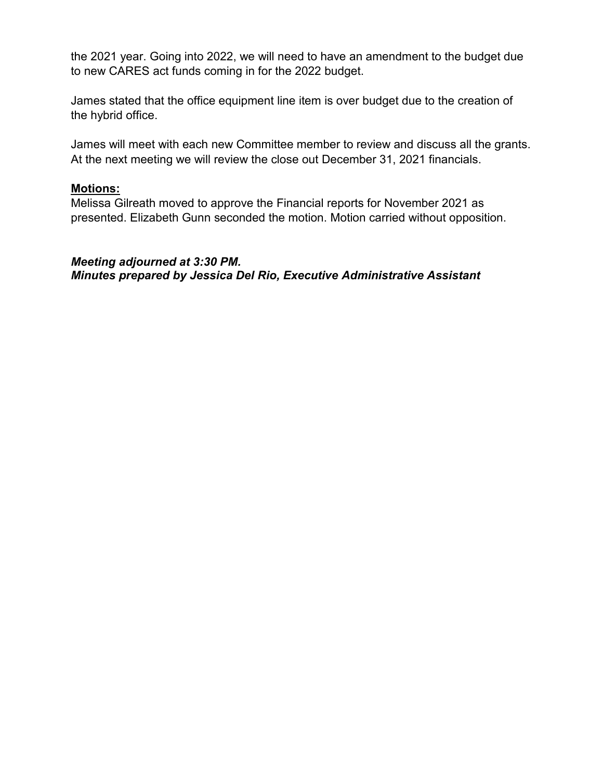the 2021 year. Going into 2022, we will need to have an amendment to the budget due to new CARES act funds coming in for the 2022 budget.

James stated that the office equipment line item is over budget due to the creation of the hybrid office.

James will meet with each new Committee member to review and discuss all the grants. At the next meeting we will review the close out December 31, 2021 financials.

#### **Motions:**

Melissa Gilreath moved to approve the Financial reports for November 2021 as presented. Elizabeth Gunn seconded the motion. Motion carried without opposition.

#### *Meeting adjourned at 3:30 PM. Minutes prepared by Jessica Del Rio, Executive Administrative Assistant*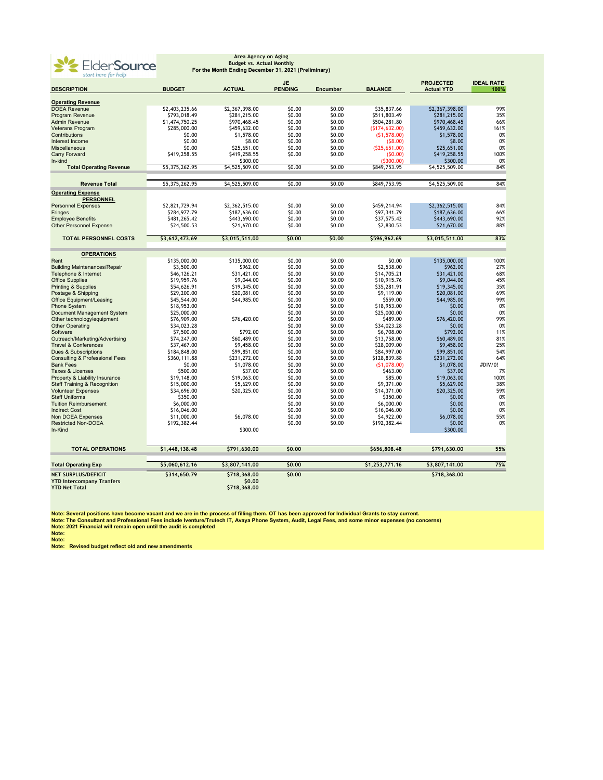

### **Area Agency on Aging Budget vs. Actual Monthly For the Month Ending December 31, 2021 (Preliminary)**

| start here for help                                      |                |                          |                             |                 |                       |                                       |                           |
|----------------------------------------------------------|----------------|--------------------------|-----------------------------|-----------------|-----------------------|---------------------------------------|---------------------------|
| <b>DESCRIPTION</b>                                       | <b>BUDGET</b>  | <b>ACTUAL</b>            | <b>JE</b><br><b>PENDING</b> | <b>Encumber</b> | <b>BALANCE</b>        | <b>PROJECTED</b><br><b>Actual YTD</b> | <b>IDEAL RATE</b><br>100% |
| <b>Operating Revenue</b>                                 |                |                          |                             |                 |                       |                                       |                           |
| <b>DOEA Revenue</b>                                      | \$2,403,235.66 | \$2,367,398.00           | \$0.00                      | \$0.00          | \$35,837.66           | \$2,367,398.00                        | 99%                       |
| Program Revenue                                          | \$793,018.49   | \$281,215.00             | \$0.00                      | \$0.00          | \$511,803.49          | \$281,215.00                          | 35%                       |
| <b>Admin Revenue</b>                                     | \$1,474,750.25 | \$970,468.45             | \$0.00                      | \$0.00          | \$504,281.80          | \$970,468.45                          | 66%                       |
| Veterans Program                                         | \$285,000.00   | \$459,632.00             | \$0.00                      | \$0.00          | (5174, 632.00)        | \$459,632.00                          | 161%                      |
| Contributions                                            | \$0.00         | \$1,578.00               | \$0.00                      | \$0.00          | (51, 578.00)          | \$1,578.00                            | 0%                        |
| Interest Income                                          | \$0.00         | \$8.00                   | \$0.00                      | \$0.00          |                       | \$8.00                                | 0%                        |
|                                                          |                |                          |                             |                 | (58.00)               |                                       |                           |
| Miscellaneous                                            | \$0.00         | \$25,651.00              | \$0.00                      | \$0.00          | (525, 651.00)         | \$25,651.00                           | 0%                        |
| <b>Carry Forward</b><br>In-kind                          | \$419,258.55   | \$419,258.55<br>\$300.00 | \$0.00                      | \$0.00          | (50.00)<br>(\$300.00) | \$419,258.55<br>\$300.00              | 100%<br>0%                |
| <b>Total Operating Revenue</b>                           | \$5,375,262.95 | \$4,525,509.00           | \$0.00                      | \$0.00          | \$849,753.95          | \$4,525,509.00                        | 84%                       |
| <b>Revenue Total</b>                                     | \$5,375,262.95 | \$4,525,509.00           | \$0.00                      | \$0.00          | \$849,753.95          | \$4,525,509.00                        | 84%                       |
| <b>Operating Expense</b>                                 |                |                          |                             |                 |                       |                                       |                           |
| <b>PERSONNEL</b>                                         |                |                          |                             |                 |                       |                                       |                           |
| <b>Personnel Expenses</b>                                | \$2,821,729.94 | \$2,362,515.00           | \$0.00                      | \$0.00          | \$459,214.94          | \$2,362,515.00                        | 84%                       |
| <b>Fringes</b>                                           | \$284,977.79   | \$187,636.00             | \$0.00                      | \$0.00          | \$97,341.79           | \$187,636.00                          | 66%                       |
| <b>Employee Benefits</b>                                 | \$481,265.42   | \$443,690.00             | \$0.00                      | \$0.00          | \$37,575.42           | \$443,690.00                          | 92%                       |
| <b>Other Personnel Expense</b>                           | \$24,500.53    | \$21,670.00              | \$0.00                      | \$0.00          | \$2,830.53            | \$21,670.00                           | 88%                       |
| <b>TOTAL PERSONNEL COSTS</b>                             | \$3,612,473.69 | \$3,015,511.00           | \$0.00                      | \$0.00          | \$596,962.69          | \$3,015,511.00                        | 83%                       |
| <b>OPERATIONS</b>                                        |                |                          |                             |                 |                       |                                       |                           |
| Rent                                                     | \$135,000.00   | \$135,000.00             | \$0.00                      | \$0.00          | \$0.00                | \$135,000.00                          | 100%                      |
| <b>Building Maintenances/Repair</b>                      | \$3,500.00     | \$962.00                 | \$0.00                      | \$0.00          | \$2,538.00            | \$962.00                              | 27%                       |
| Telephone & Internet                                     | \$46,126.21    | \$31,421.00              | \$0.00                      | \$0.00          | \$14,705.21           | \$31,421.00                           | 68%                       |
| <b>Office Supplies</b>                                   | \$19,959.76    | \$9,044.00               | \$0.00                      | \$0.00          | \$10,915.76           | \$9,044.00                            | 45%                       |
| <b>Printing &amp; Supplies</b>                           | \$54,626.91    | \$19,345.00              | \$0.00                      | \$0.00          | \$35,281.91           | \$19,345.00                           | 35%                       |
| Postage & Shipping                                       | \$29,200.00    | \$20,081.00              | \$0.00                      | \$0.00          | \$9,119.00            | \$20,081.00                           | 69%                       |
| Office Equipment/Leasing                                 | \$45,544.00    | \$44,985.00              | \$0.00                      | \$0.00          | \$559.00              | \$44,985.00                           | 99%                       |
| <b>Phone System</b>                                      | \$18,953.00    |                          | \$0.00                      | \$0.00          | \$18,953.00           | \$0.00                                | 0%                        |
| Document Management System                               | \$25,000.00    |                          | \$0.00                      | \$0.00          | \$25,000.00           | \$0.00                                | 0%                        |
|                                                          |                | \$76,420.00              | \$0.00                      | \$0.00          |                       |                                       | 99%                       |
| Other technology/equipment                               | \$76,909.00    |                          | \$0.00                      | \$0.00          | \$489.00              | \$76,420.00                           | 0%                        |
| <b>Other Operating</b>                                   | \$34,023.28    | \$792.00                 |                             | \$0.00          | \$34,023.28           | \$0.00<br>\$792.00                    | 11%                       |
| Software                                                 | \$7,500.00     |                          | \$0.00                      | \$0.00          | \$6,708.00            |                                       | 81%                       |
| Outreach/Marketing/Advertising                           | \$74,247.00    | \$60,489.00              | \$0.00                      |                 | \$13,758.00           | \$60,489.00                           |                           |
| <b>Travel &amp; Conferences</b>                          | \$37,467.00    | \$9,458.00               | \$0.00                      | \$0.00          | \$28,009.00           | \$9,458.00                            | 25%                       |
| <b>Dues &amp; Subscriptions</b>                          | \$184,848.00   | \$99,851.00              | \$0.00                      | \$0.00          | \$84,997.00           | \$99,851.00                           | 54%                       |
| <b>Consulting &amp; Professional Fees</b>                | \$360,111.88   | \$231,272.00             | \$0.00                      | \$0.00          | \$128,839.88          | \$231,272.00                          | 64%                       |
| <b>Bank Fees</b>                                         | \$0.00         | \$1,078.00               | \$0.00                      | \$0.00          | (51,078.00)           | \$1,078.00                            | #DIV/0!                   |
| <b>Taxes &amp; Licenses</b>                              | \$500.00       | \$37.00                  | \$0.00                      | \$0.00          | \$463.00              | \$37.00                               | 7%                        |
| Property & Liability Insurance                           | \$19,148.00    | \$19,063.00              | \$0.00                      | \$0.00          | \$85.00               | \$19,063.00                           | 100%                      |
| <b>Staff Training &amp; Recognition</b>                  | \$15,000.00    | \$5,629.00               | \$0.00                      | \$0.00          | \$9,371.00            | \$5,629.00                            | 38%                       |
| <b>Volunteer Expenses</b>                                | \$34,696.00    | \$20,325.00              | \$0.00                      | \$0.00          | \$14,371.00           | \$20,325.00                           | 59%                       |
| <b>Staff Uniforms</b>                                    | \$350.00       |                          | \$0.00                      | \$0.00          | \$350.00              | \$0.00                                | 0%                        |
| <b>Tuition Reimbursement</b>                             | \$6,000.00     |                          | \$0.00                      | \$0.00          | \$6,000.00            | \$0.00                                | 0%                        |
| <b>Indirect Cost</b>                                     | \$16,046.00    |                          | \$0.00                      | \$0.00          | \$16,046.00           | \$0.00                                | 0%                        |
| Non DOEA Expenses                                        | \$11,000.00    | \$6,078.00               | \$0.00                      | \$0.00          | \$4,922.00            | \$6,078.00                            | 55%                       |
| <b>Restricted Non-DOEA</b>                               | \$192,382.44   |                          | \$0.00                      | \$0.00          | \$192,382.44          | \$0.00                                | 0%                        |
| In-Kind                                                  |                | \$300.00                 |                             |                 |                       | \$300.00                              |                           |
| <b>TOTAL OPERATIONS</b>                                  | \$1,448,138.48 | \$791,630.00             | \$0.00                      |                 | \$656,808.48          | \$791,630.00                          | 55%                       |
| <b>Total Operating Exp</b>                               | \$5,060,612.16 | \$3,807,141.00           | \$0.00                      |                 | \$1,253,771.16        | \$3,807,141.00                        | 75%                       |
| <b>NET SURPLUS/DEFICIT</b>                               | \$314,650.79   | \$718,368,00             | \$0,00                      |                 |                       | \$718,368,00                          |                           |
| <b>YTD Intercompany Tranfers</b><br><b>YTD Net Total</b> |                | \$0.00<br>\$718,368.00   |                             |                 |                       |                                       |                           |

Note: Several positions have become vacant and we are in the process of filling them. OT has been approved for Individual Grants to stay current.<br>Note: The Consultant and Professional Fees include Iventure/Trutech IT, Avay

**Note: Note: Revised budget reflect old and new amendments**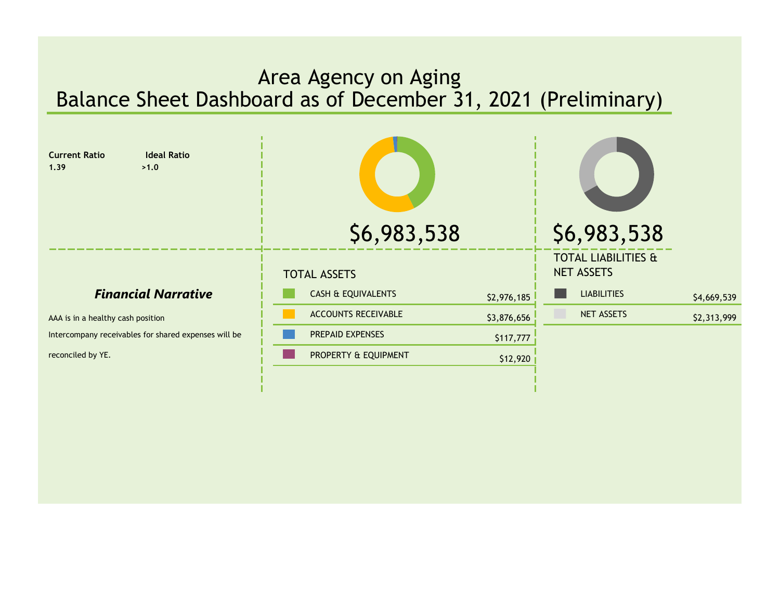## <span id="page-4-0"></span>Area Agency on Aging Balance Sheet Dashboard as of December 31, 2021 (Preliminary)

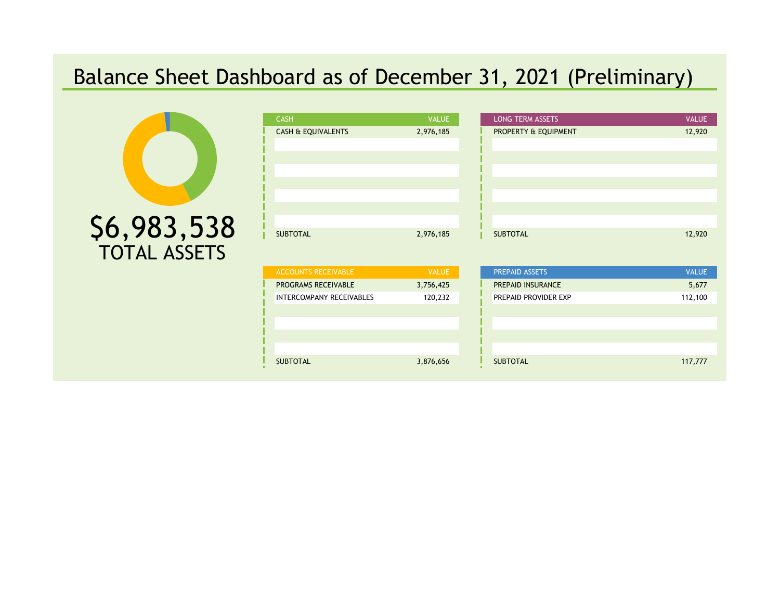# <span id="page-5-0"></span>Balance Sheet Dashboard as of December 31, 2021 (Preliminary)



| <b>CASH</b>                   | <b>VALUE</b> |
|-------------------------------|--------------|
| <b>CASH &amp; EQUIVALENTS</b> | 2,976,185    |
|                               |              |
|                               |              |
|                               |              |
|                               |              |
|                               |              |
|                               |              |
|                               |              |
| <b>SUBTOTAL</b>               | 2,976,185    |

| <b>ACCOUNTS RECEIVABLE</b>      | <b>VALUE</b> |
|---------------------------------|--------------|
| PROGRAMS RECEIVABLE             | 3,756,425    |
| <b>INTERCOMPANY RECEIVABLES</b> | 120,232      |
|                                 |              |
|                                 |              |
|                                 |              |
|                                 |              |
| <b>SUBTOTAL</b>                 | 3,876,656    |

| <b>CASH</b>        | <b>VALUE</b> | <b>LONG TERM ASSETS</b> | <b>VALUE</b> |
|--------------------|--------------|-------------------------|--------------|
| CASH & EQUIVALENTS | 2,976,185    | PROPERTY & EQUIPMENT    | 12,920       |
|                    |              |                         |              |
|                    |              |                         |              |
|                    |              |                         |              |
|                    |              |                         |              |
|                    |              |                         |              |
|                    |              |                         |              |
|                    |              |                         |              |
| <b>SUBTOTAL</b>    | 2,976,185    | <b>SUBTOTAL</b>         | 12,920       |
|                    |              |                         |              |

| <b>ACCOUNTS RECEIVABLE</b>      | <b>VALUE</b> | PREPAID ASSETS              | <b>VALUE</b> |
|---------------------------------|--------------|-----------------------------|--------------|
| <b>PROGRAMS RECEIVABLE</b>      | 3,756,425    | PREPAID INSURANCE           | 5,677        |
| <b>INTERCOMPANY RECEIVABLES</b> | 120,232      | <b>PREPAID PROVIDER EXP</b> | 112,100      |
|                                 |              |                             |              |
|                                 |              |                             |              |
|                                 |              |                             |              |
|                                 |              |                             |              |
| <b>SUBTOTAL</b>                 | 3,876,656    | <b>SUBTOTAL</b>             | 117,777      |